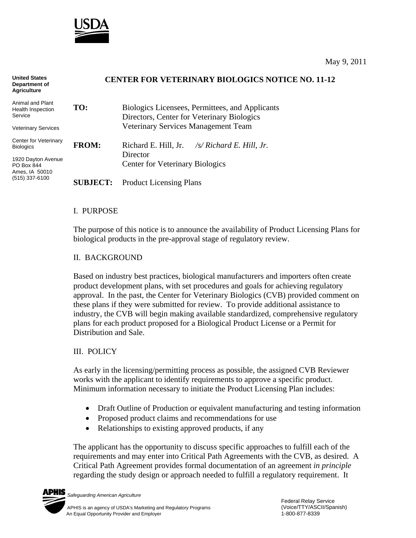

| <b>United States</b><br>Department of<br><b>Agriculture</b> | <b>CENTER FOR VETERINARY BIOLOGICS NOTICE NO. 11-12</b> |                                                         |
|-------------------------------------------------------------|---------------------------------------------------------|---------------------------------------------------------|
| Animal and Plant<br>Health Inspection                       | TO:                                                     | Biologics Licensees, Permittees, and Applicants         |
| Service                                                     |                                                         | Directors, Center for Veterinary Biologics              |
| Veterinary Services                                         |                                                         | Veterinary Services Management Team                     |
| Center for Veterinary<br><b>Biologics</b>                   | <b>FROM:</b>                                            | Richard E. Hill, Jr. $\frac{1}{s}$ Richard E. Hill, Jr. |
| 1920 Dayton Avenue                                          |                                                         | Director                                                |
| PO Box 844<br>Ames, IA 50010<br>(515) 337-6100              |                                                         | <b>Center for Veterinary Biologics</b>                  |
|                                                             | <b>SUBJECT:</b>                                         | <b>Product Licensing Plans</b>                          |

### I. PURPOSE

The purpose of this notice is to announce the availability of Product Licensing Plans for biological products in the pre-approval stage of regulatory review.

### II. BACKGROUND

Based on industry best practices, biological manufacturers and importers often create product development plans, with set procedures and goals for achieving regulatory approval. In the past, the Center for Veterinary Biologics (CVB) provided comment on these plans if they were submitted for review. To provide additional assistance to industry, the CVB will begin making available standardized, comprehensive regulatory plans for each product proposed for a Biological Product License or a Permit for Distribution and Sale.

## III. POLICY

As early in the licensing/permitting process as possible, the assigned CVB Reviewer works with the applicant to identify requirements to approve a specific product. Minimum information necessary to initiate the Product Licensing Plan includes:

- Draft Outline of Production or equivalent manufacturing and testing information
- Proposed product claims and recommendations for use
- Relationships to existing approved products, if any

The applicant has the opportunity to discuss specific approaches to fulfill each of the requirements and may enter into Critical Path Agreements with the CVB, as desired. A Critical Path Agreement provides formal documentation of an agreement *in principle* regarding the study design or approach needed to fulfill a regulatory requirement. It